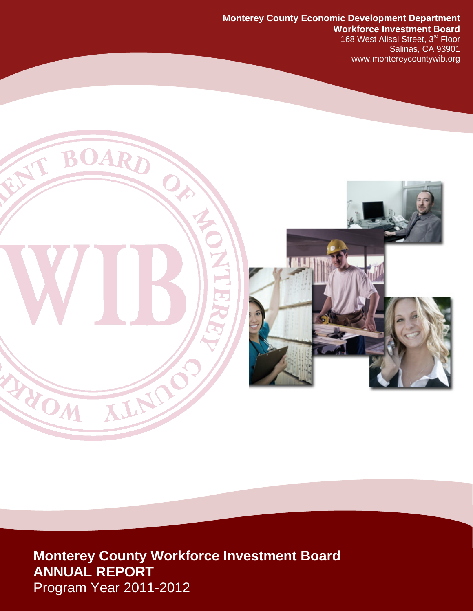### **Monterey County Economic Development Department Workforce Investment Board**

168 West Alisal Street, 3<sup>rd</sup> Floor Salinas, CA 93901 www.montereycountywib.org



**Monterey County Workforce Investment Board ANNUAL REPORT**  Program Year 2011-2012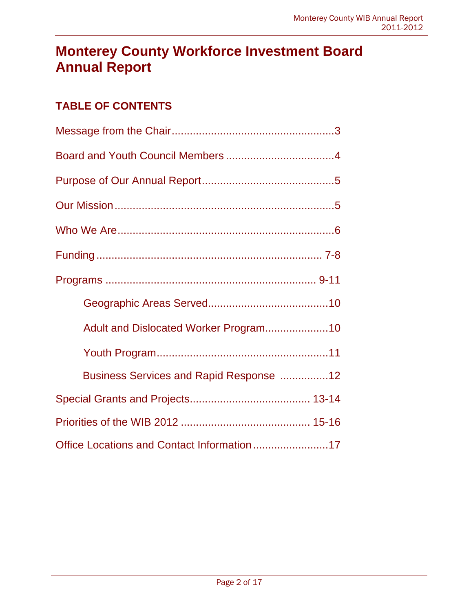# **Monterey County Workforce Investment Board Annual Report**

## **TABLE OF CONTENTS**

| Adult and Dislocated Worker Program10      |
|--------------------------------------------|
|                                            |
| Business Services and Rapid Response 12    |
|                                            |
|                                            |
| Office Locations and Contact Information17 |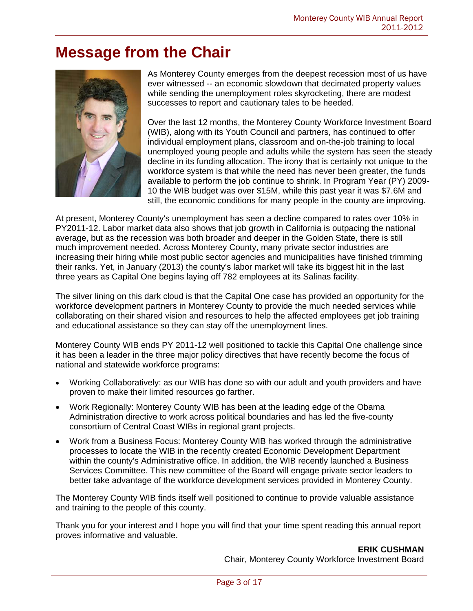# **Message from the Chair**



As Monterey County emerges from the deepest recession most of us have ever witnessed -- an economic slowdown that decimated property values while sending the unemployment roles skyrocketing, there are modest successes to report and cautionary tales to be heeded.

Over the last 12 months, the Monterey County Workforce Investment Board (WIB), along with its Youth Council and partners, has continued to offer individual employment plans, classroom and on-the-job training to local unemployed young people and adults while the system has seen the steady decline in its funding allocation. The irony that is certainly not unique to the workforce system is that while the need has never been greater, the funds available to perform the job continue to shrink. In Program Year (PY) 2009- 10 the WIB budget was over \$15M, while this past year it was \$7.6M and still, the economic conditions for many people in the county are improving.

At present, Monterey County's unemployment has seen a decline compared to rates over 10% in PY2011-12. Labor market data also shows that job growth in California is outpacing the national average, but as the recession was both broader and deeper in the Golden State, there is still much improvement needed. Across Monterey County, many private sector industries are increasing their hiring while most public sector agencies and municipalities have finished trimming their ranks. Yet, in January (2013) the county's labor market will take its biggest hit in the last three years as Capital One begins laying off 782 employees at its Salinas facility.

The silver lining on this dark cloud is that the Capital One case has provided an opportunity for the workforce development partners in Monterey County to provide the much needed services while collaborating on their shared vision and resources to help the affected employees get job training and educational assistance so they can stay off the unemployment lines.

Monterey County WIB ends PY 2011-12 well positioned to tackle this Capital One challenge since it has been a leader in the three major policy directives that have recently become the focus of national and statewide workforce programs:

- Working Collaboratively: as our WIB has done so with our adult and youth providers and have proven to make their limited resources go farther.
- Work Regionally: Monterey County WIB has been at the leading edge of the Obama Administration directive to work across political boundaries and has led the five-county consortium of Central Coast WIBs in regional grant projects.
- Work from a Business Focus: Monterey County WIB has worked through the administrative processes to locate the WIB in the recently created Economic Development Department within the county's Administrative office. In addition, the WIB recently launched a Business Services Committee. This new committee of the Board will engage private sector leaders to better take advantage of the workforce development services provided in Monterey County.

The Monterey County WIB finds itself well positioned to continue to provide valuable assistance and training to the people of this county.

Thank you for your interest and I hope you will find that your time spent reading this annual report proves informative and valuable.

> **ERIK CUSHMAN** Chair, Monterey County Workforce Investment Board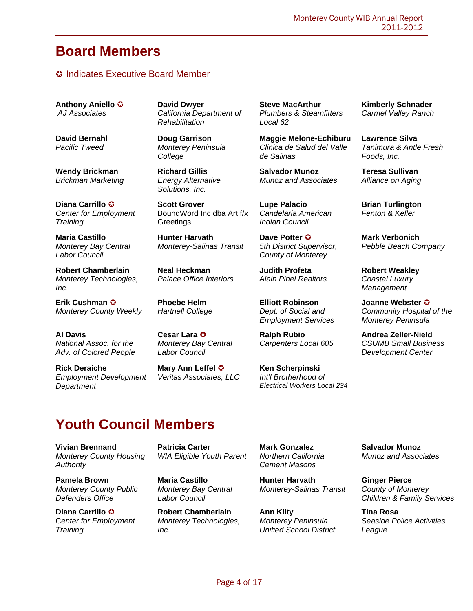## **Board Members**

### **C** Indicates Executive Board Member

**Anthony Aniello**  *AJ Associates*

**David Bernahl**  *Pacific Tweed*

**Wendy Brickman** *Brickman Marketing*

**Diana Carrillo**  *Center for Employment Training* 

**Maria Castillo**  *Monterey Bay Central Labor Council*

**Robert Chamberlain**  *Monterey Technologies, Inc.*

**Erik Cushman**  *Monterey County Weekly* 

**Al Davis**  *National Assoc. for the Adv. of Colored People*

**Rick Deraiche**  *Employment Development Department*

**David Dwyer**  *California Department of Rehabilitation*

**Doug Garrison**  *Monterey Peninsula College*

**Richard Gillis**  *Energy Alternative Solutions, Inc.*

**Scott Grover**  BoundWord Inc dba Art f/x **Greetings** 

**Hunter Harvath** *Monterey-Salinas Transit*

**Neal Heckman**  *Palace Office Interiors* 

**Phoebe Helm**  *Hartnell College*

**Cesar Lara**  *Monterey Bay Central Labor Council*

**Mary Ann Leffel**  *Veritas Associates, LLC* **Steve MacArthur** *Plumbers & Steamfitters Local 62*

**Maggie Melone-Echiburu**  *Clinica de Salud del Valle de Salinas*

**Salvador Munoz**  *Munoz and Associates*

**Lupe Palacio**  *Candelaria American Indian Council*

**Dave Potter**  *5th District Supervisor, County of Monterey*

**Judith Profeta**  *Alain Pinel Realtors*

**Elliott Robinson** *Dept. of Social and Employment Services*

**Ralph Rubio**  *Carpenters Local 605*

**Ken Scherpinski** *Int'l Brotherhood of Electrical Workers Local 234* **Kimberly Schnader**  *Carmel Valley Ranch*

**Lawrence Silva**  *Tanimura & Antle Fresh Foods, Inc.*

**Teresa Sullivan**  *Alliance on Aging*

**Brian Turlington**  *Fenton & Keller*

**Mark Verbonich**  *Pebble Beach Company*

**Robert Weakley**  *Coastal Luxury Management*

**Joanne Webster**  *Community Hospital of the Monterey Peninsula*

**Andrea Zeller-Nield**  *CSUMB Small Business Development Center*

# **Youth Council Members**

**Vivian Brennand**  *Monterey County Housing Authority*

**Pamela Brown**  *Monterey County Public Defenders Office*

**Diana Carrillo**  C*enter for Employment Training*

**Patricia Carter**  *WIA Eligible Youth Parent*

**Maria Castillo**  *Monterey Bay Central Labor Council*

**Robert Chamberlain**  *Monterey Technologies, Inc.*

**Mark Gonzalez**  *Northern California Cement Masons*

**Hunter Harvath**  *Monterey-Salinas Transit*

**Ann Kilty**  *Monterey Peninsula Unified School District* **Salvador Munoz**  *Munoz and Associates*

**Ginger Pierce**  *County of Monterey Children & Family Services*

**Tina Rosa**  *Seaside Police Activities League*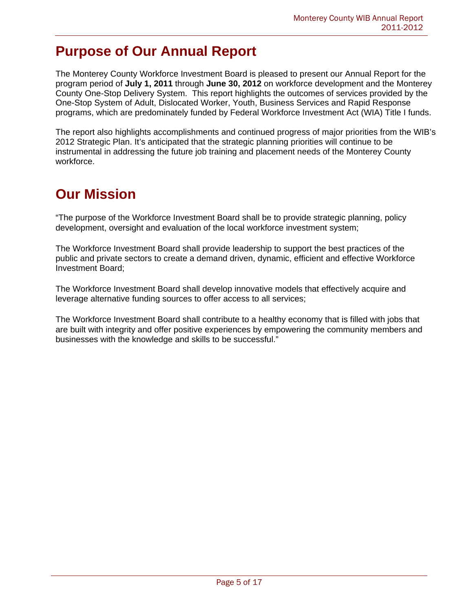## **Purpose of Our Annual Report**

The Monterey County Workforce Investment Board is pleased to present our Annual Report for the program period of **July 1, 2011** through **June 30, 2012** on workforce development and the Monterey County One-Stop Delivery System. This report highlights the outcomes of services provided by the One-Stop System of Adult, Dislocated Worker, Youth, Business Services and Rapid Response programs, which are predominately funded by Federal Workforce Investment Act (WIA) Title I funds.

The report also highlights accomplishments and continued progress of major priorities from the WIB's 2012 Strategic Plan. It's anticipated that the strategic planning priorities will continue to be instrumental in addressing the future job training and placement needs of the Monterey County workforce.

## **Our Mission**

"The purpose of the Workforce Investment Board shall be to provide strategic planning, policy development, oversight and evaluation of the local workforce investment system;

The Workforce Investment Board shall provide leadership to support the best practices of the public and private sectors to create a demand driven, dynamic, efficient and effective Workforce Investment Board;

The Workforce Investment Board shall develop innovative models that effectively acquire and leverage alternative funding sources to offer access to all services;

The Workforce Investment Board shall contribute to a healthy economy that is filled with jobs that are built with integrity and offer positive experiences by empowering the community members and businesses with the knowledge and skills to be successful."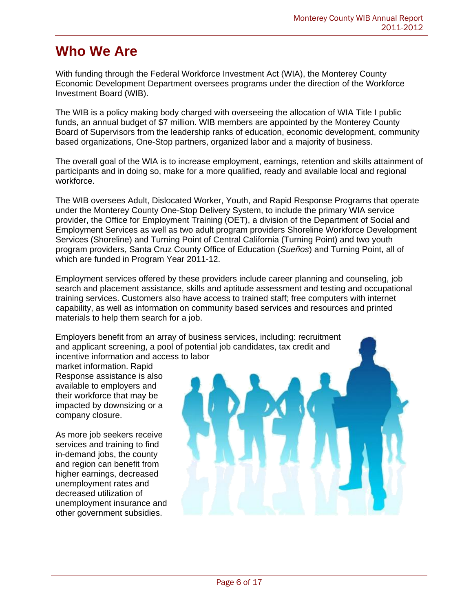## **Who We Are**

With funding through the Federal Workforce Investment Act (WIA), the Monterey County Economic Development Department oversees programs under the direction of the Workforce Investment Board (WIB).

The WIB is a policy making body charged with overseeing the allocation of WIA Title I public funds, an annual budget of \$7 million. WIB members are appointed by the Monterey County Board of Supervisors from the leadership ranks of education, economic development, community based organizations, One-Stop partners, organized labor and a majority of business.

The overall goal of the WIA is to increase employment, earnings, retention and skills attainment of participants and in doing so, make for a more qualified, ready and available local and regional workforce.

The WIB oversees Adult, Dislocated Worker, Youth, and Rapid Response Programs that operate under the Monterey County One-Stop Delivery System, to include the primary WIA service provider, the Office for Employment Training (OET), a division of the Department of Social and Employment Services as well as two adult program providers Shoreline Workforce Development Services (Shoreline) and Turning Point of Central California (Turning Point) and two youth program providers, Santa Cruz County Office of Education (*Sueños*) and Turning Point, all of which are funded in Program Year 2011-12.

Employment services offered by these providers include career planning and counseling, job search and placement assistance, skills and aptitude assessment and testing and occupational training services. Customers also have access to trained staff; free computers with internet capability, as well as information on community based services and resources and printed materials to help them search for a job.

Employers benefit from an array of business services, including: recruitment and applicant screening, a pool of potential job candidates, tax credit and incentive information and access to labor

market information. Rapid Response assistance is also available to employers and their workforce that may be impacted by downsizing or a company closure.

As more job seekers receive services and training to find in-demand jobs, the county and region can benefit from higher earnings, decreased unemployment rates and decreased utilization of unemployment insurance and other government subsidies.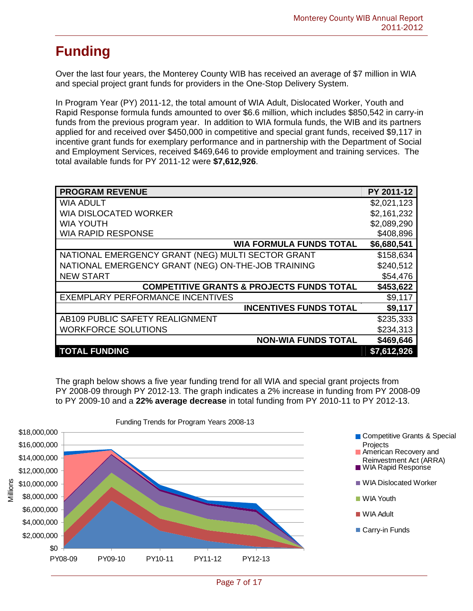# **Funding**

Over the last four years, the Monterey County WIB has received an average of \$7 million in WIA and special project grant funds for providers in the One-Stop Delivery System.

In Program Year (PY) 2011-12, the total amount of WIA Adult, Dislocated Worker, Youth and Rapid Response formula funds amounted to over \$6.6 million, which includes \$850,542 in carry-in funds from the previous program year. In addition to WIA formula funds, the WIB and its partners applied for and received over \$450,000 in competitive and special grant funds, received \$9,117 in incentive grant funds for exemplary performance and in partnership with the Department of Social and Employment Services, received \$469,646 to provide employment and training services. The total available funds for PY 2011-12 were **\$7,612,926**.

| <b>PROGRAM REVENUE</b>                               | PY 2011-12  |
|------------------------------------------------------|-------------|
| <b>WIA ADULT</b>                                     | \$2,021,123 |
| <b>WIA DISLOCATED WORKER</b>                         | \$2,161,232 |
| <b>WIA YOUTH</b>                                     | \$2,089,290 |
| <b>WIA RAPID RESPONSE</b>                            | \$408,896   |
| <b>WIA FORMULA FUNDS TOTAL</b>                       | \$6,680,541 |
| NATIONAL EMERGENCY GRANT (NEG) MULTI SECTOR GRANT    | \$158,634   |
| NATIONAL EMERGENCY GRANT (NEG) ON-THE-JOB TRAINING   | \$240,512   |
| <b>NEW START</b>                                     | \$54,476    |
| <b>COMPETITIVE GRANTS &amp; PROJECTS FUNDS TOTAL</b> | \$453,622   |
| EXEMPLARY PERFORMANCE INCENTIVES                     | \$9,117     |
| <b>INCENTIVES FUNDS TOTAL</b>                        | \$9,117     |
| AB109 PUBLIC SAFETY REALIGNMENT                      | \$235,333   |
| <b>WORKFORCE SOLUTIONS</b>                           | \$234,313   |
| <b>NON-WIA FUNDS TOTAL</b>                           | \$469,646   |
| <b>TOTAL FUNDING</b>                                 | \$7,612,926 |

The graph below shows a five year funding trend for all WIA and special grant projects from PY 2008-09 through PY 2012-13. The graph indicates a 2% increase in funding from PY 2008-09 to PY 2009-10 and a **22% average decrease** in total funding from PY 2010-11 to PY 2012-13.

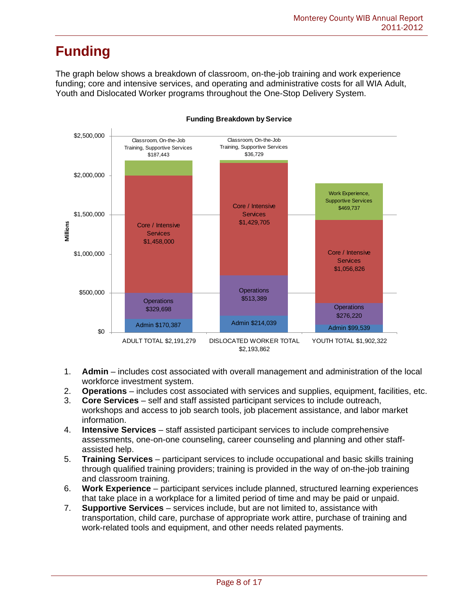# **Funding**

The graph below shows a breakdown of classroom, on-the-job training and work experience funding; core and intensive services, and operating and administrative costs for all WIA Adult, Youth and Dislocated Worker programs throughout the One-Stop Delivery System.



#### **Funding Breakdown by Service**

- 1. **Admin** includes cost associated with overall management and administration of the local workforce investment system.
- 2. **Operations** includes cost associated with services and supplies, equipment, facilities, etc.
- 3. **Core Services** self and staff assisted participant services to include outreach, workshops and access to job search tools, job placement assistance, and labor market information.
- 4. **Intensive Services** staff assisted participant services to include comprehensive assessments, one-on-one counseling, career counseling and planning and other staffassisted help.
- 5. **Training Services**  participant services to include occupational and basic skills training through qualified training providers; training is provided in the way of on-the-job training and classroom training.
- 6. **Work Experience** participant services include planned, structured learning experiences that take place in a workplace for a limited period of time and may be paid or unpaid.
- 7. **Supportive Services**  services include, but are not limited to, assistance with transportation, child care, purchase of appropriate work attire, purchase of training and work-related tools and equipment, and other needs related payments.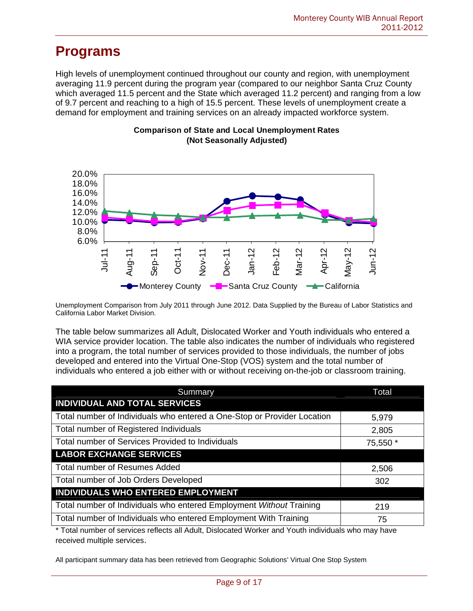High levels of unemployment continued throughout our county and region, with unemployment averaging 11.9 percent during the program year (compared to our neighbor Santa Cruz County which averaged 11.5 percent and the State which averaged 11.2 percent) and ranging from a low of 9.7 percent and reaching to a high of 15.5 percent. These levels of unemployment create a demand for employment and training services on an already impacted workforce system.



#### **Comparison of State and Local Unemployment Rates (Not Seasonally Adjusted)**

Unemployment Comparison from July 2011 through June 2012. Data Supplied by the Bureau of Labor Statistics and California Labor Market Division.

The table below summarizes all Adult, Dislocated Worker and Youth individuals who entered a WIA service provider location. The table also indicates the number of individuals who registered into a program, the total number of services provided to those individuals, the number of jobs developed and entered into the Virtual One-Stop (VOS) system and the total number of individuals who entered a job either with or without receiving on-the-job or classroom training.

| Summary                                                                 | Total    |
|-------------------------------------------------------------------------|----------|
| <b>INDIVIDUAL AND TOTAL SERVICES</b>                                    |          |
| Total number of Individuals who entered a One-Stop or Provider Location | 5,979    |
| Total number of Registered Individuals                                  | 2,805    |
| Total number of Services Provided to Individuals                        | 75,550 * |
| <b>LABOR EXCHANGE SERVICES</b>                                          |          |
| <b>Total number of Resumes Added</b>                                    | 2,506    |
| Total number of Job Orders Developed                                    | 302      |
| INDIVIDUALS WHO ENTERED EMPLOYMENT                                      |          |
| Total number of Individuals who entered Employment Without Training     | 219      |
| Total number of Individuals who entered Employment With Training        | 75       |

\* Total number of services reflects all Adult, Dislocated Worker and Youth individuals who may have received multiple services.

All participant summary data has been retrieved from Geographic Solutions' Virtual One Stop System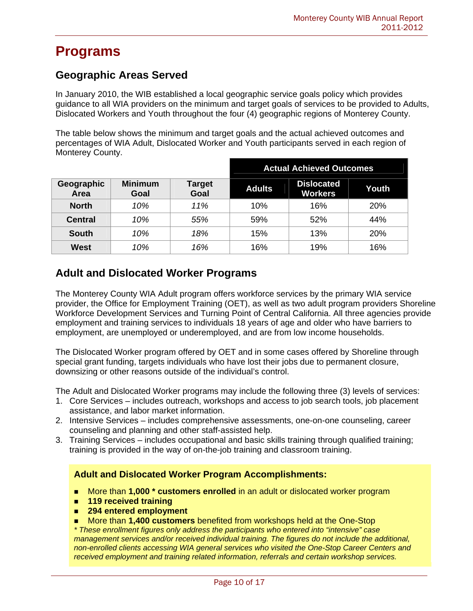## **Geographic Areas Served**

In January 2010, the WIB established a local geographic service goals policy which provides guidance to all WIA providers on the minimum and target goals of services to be provided to Adults, Dislocated Workers and Youth throughout the four (4) geographic regions of Monterey County.

The table below shows the minimum and target goals and the actual achieved outcomes and percentages of WIA Adult, Dislocated Worker and Youth participants served in each region of Monterey County.

|                           |                        |                | <b>Actual Achieved Outcomes</b> |                                     |            |
|---------------------------|------------------------|----------------|---------------------------------|-------------------------------------|------------|
| Geographic<br><b>Area</b> | <b>Minimum</b><br>Goal | Target<br>Goal | <b>Adults</b>                   | <b>Dislocated</b><br><b>Workers</b> | Youth      |
| <b>North</b>              | 10%                    | 11%            | 10%                             | 16%                                 | 20%        |
| <b>Central</b>            | 10%                    | 55%            | 59%                             | 52%                                 | 44%        |
| <b>South</b>              | 10%                    | 18%            | 15%                             | 13%                                 | <b>20%</b> |
| West                      | 10%                    | 16%            | 16%                             | 19%                                 | 16%        |

## **Adult and Dislocated Worker Programs**

The Monterey County WIA Adult program offers workforce services by the primary WIA service provider, the Office for Employment Training (OET), as well as two adult program providers Shoreline Workforce Development Services and Turning Point of Central California. All three agencies provide employment and training services to individuals 18 years of age and older who have barriers to employment, are unemployed or underemployed, and are from low income households.

The Dislocated Worker program offered by OET and in some cases offered by Shoreline through special grant funding, targets individuals who have lost their jobs due to permanent closure, downsizing or other reasons outside of the individual's control.

The Adult and Dislocated Worker programs may include the following three (3) levels of services:

- 1. Core Services includes outreach, workshops and access to job search tools, job placement assistance, and labor market information.
- 2. Intensive Services includes comprehensive assessments, one-on-one counseling, career counseling and planning and other staff-assisted help.
- 3. Training Services includes occupational and basic skills training through qualified training; training is provided in the way of on-the-job training and classroom training.

### **Adult and Dislocated Worker Program Accomplishments:**

- More than **1,000 \* customers enrolled** in an adult or dislocated worker program
- **119 received training**
- **294 entered employment**
- More than **1,400 customers** benefited from workshops held at the One-Stop

*\* These enrollment figures only address the participants who entered into "intensive" case management services and/or received individual training. The figures do not include the additional, non-enrolled clients accessing WIA general services who visited the One-Stop Career Centers and received employment and training related information, referrals and certain workshop services.*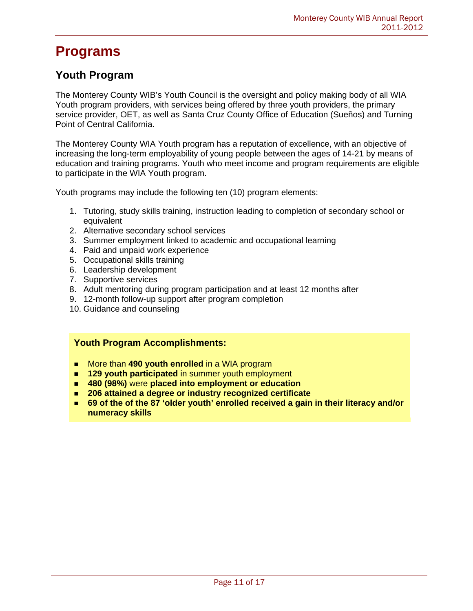### **Youth Program**

The Monterey County WIB's Youth Council is the oversight and policy making body of all WIA Youth program providers, with services being offered by three youth providers, the primary service provider, OET, as well as Santa Cruz County Office of Education (Sueños) and Turning Point of Central California.

The Monterey County WIA Youth program has a reputation of excellence, with an objective of increasing the long-term employability of young people between the ages of 14-21 by means of education and training programs. Youth who meet income and program requirements are eligible to participate in the WIA Youth program.

Youth programs may include the following ten (10) program elements:

- 1. Tutoring, study skills training, instruction leading to completion of secondary school or equivalent
- 2. Alternative secondary school services
- 3. Summer employment linked to academic and occupational learning
- 4. Paid and unpaid work experience
- 5. Occupational skills training
- 6. Leadership development
- 7. Supportive services
- 8. Adult mentoring during program participation and at least 12 months after
- 9. 12-month follow-up support after program completion
- 10. Guidance and counseling

#### **Youth Program Accomplishments:**

- More than **490 youth enrolled** in a WIA program
- **129 youth participated** in summer youth employment
- **480 (98%)** were **placed into employment or education**
- **206 attained a degree or industry recognized certificate**
- 69 of the of the 87 'older youth' enrolled received a gain in their literacy and/or **numeracy skills**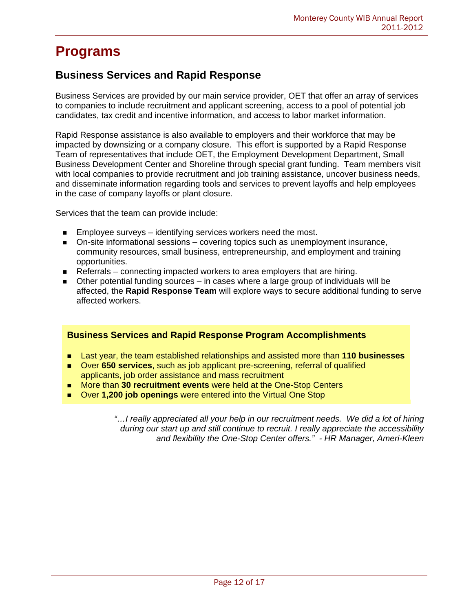### **Business Services and Rapid Response**

Business Services are provided by our main service provider, OET that offer an array of services to companies to include recruitment and applicant screening, access to a pool of potential job candidates, tax credit and incentive information, and access to labor market information.

Rapid Response assistance is also available to employers and their workforce that may be impacted by downsizing or a company closure. This effort is supported by a Rapid Response Team of representatives that include OET, the Employment Development Department, Small Business Development Center and Shoreline through special grant funding. Team members visit with local companies to provide recruitment and job training assistance, uncover business needs, and disseminate information regarding tools and services to prevent layoffs and help employees in the case of company layoffs or plant closure.

Services that the team can provide include:

- **Employee surveys** identifying services workers need the most.
- On-site informational sessions covering topics such as unemployment insurance, community resources, small business, entrepreneurship, and employment and training opportunities.
- Referrals connecting impacted workers to area employers that are hiring.
- Other potential funding sources in cases where a large group of individuals will be affected, the **Rapid Response Team** will explore ways to secure additional funding to serve affected workers.

### **Business Services and Rapid Response Program Accomplishments**

- Last year, the team established relationships and assisted more than **110 businesses**
- Over **650 services**, such as job applicant pre-screening, referral of qualified applicants, job order assistance and mass recruitment
- More than **30 recruitment events** were held at the One-Stop Centers
- Over **1,200 job openings** were entered into the Virtual One Stop

*"…I really appreciated all your help in our recruitment needs. We did a lot of hiring during our start up and still continue to recruit. I really appreciate the accessibility and flexibility the One-Stop Center offers." - HR Manager, Ameri-Kleen*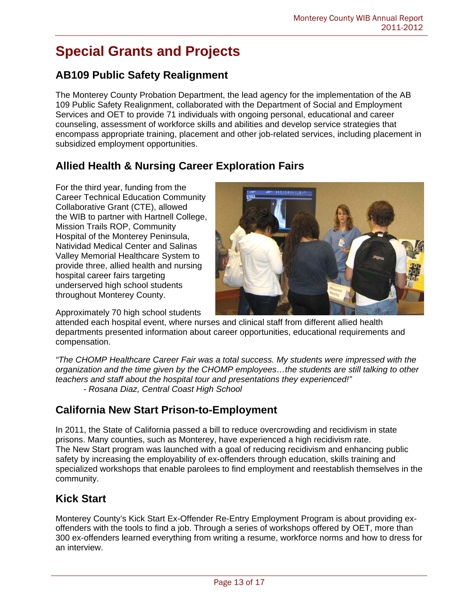# **Special Grants and Projects**

## **AB109 Public Safety Realignment**

The Monterey County Probation Department, the lead agency for the implementation of the AB 109 Public Safety Realignment, collaborated with the Department of Social and Employment Services and OET to provide 71 individuals with ongoing personal, educational and career counseling, assessment of workforce skills and abilities and develop service strategies that encompass appropriate training, placement and other job-related services, including placement in subsidized employment opportunities.

## **Allied Health & Nursing Career Exploration Fairs**

For the third year, funding from the Career Technical Education Community Collaborative Grant (CTE), allowed the WIB to partner with Hartnell College, Mission Trails ROP, Community Hospital of the Monterey Peninsula, Natividad Medical Center and Salinas Valley Memorial Healthcare System to provide three, allied health and nursing hospital career fairs targeting underserved high school students throughout Monterey County.

Approximately 70 high school students

attended each hospital event, where nurses and clinical staff from different allied health departments presented information about career opportunities, educational requirements and compensation.

*"The CHOMP Healthcare Career Fair was a total success. My students were impressed with the organization and the time given by the CHOMP employees…the students are still talking to other teachers and staff about the hospital tour and presentations they experienced!" - Rosana Diaz, Central Coast High School* 

## **California New Start Prison-to-Employment**

In 2011, the State of California passed a bill to reduce overcrowding and recidivism in state prisons. Many counties, such as Monterey, have experienced a high recidivism rate. The New Start program was launched with a goal of reducing recidivism and enhancing public safety by increasing the employability of ex-offenders through education, skills training and specialized workshops that enable parolees to find employment and reestablish themselves in the community.

## **Kick Start**

Monterey County's Kick Start Ex-Offender Re-Entry Employment Program is about providing exoffenders with the tools to find a job. Through a series of workshops offered by OET, more than 300 ex-offenders learned everything from writing a resume, workforce norms and how to dress for an interview.

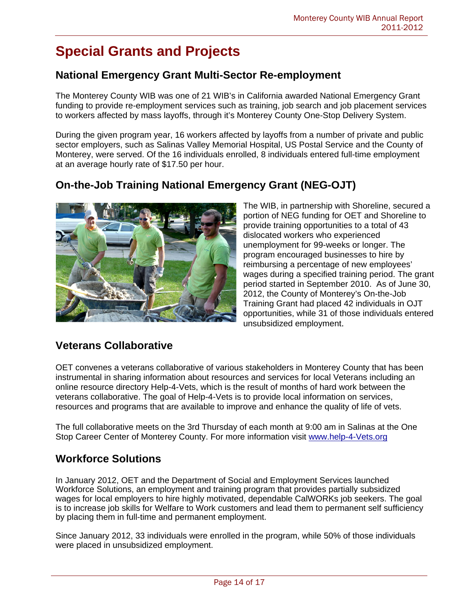# **Special Grants and Projects**

### **National Emergency Grant Multi-Sector Re-employment**

The Monterey County WIB was one of 21 WIB's in California awarded National Emergency Grant funding to provide re-employment services such as training, job search and job placement services to workers affected by mass layoffs, through it's Monterey County One-Stop Delivery System.

During the given program year, 16 workers affected by layoffs from a number of private and public sector employers, such as Salinas Valley Memorial Hospital, US Postal Service and the County of Monterey, were served. Of the 16 individuals enrolled, 8 individuals entered full-time employment at an average hourly rate of \$17.50 per hour.

## **On-the-Job Training National Emergency Grant (NEG-OJT)**



The WIB, in partnership with Shoreline, secured a portion of NEG funding for OET and Shoreline to provide training opportunities to a total of 43 dislocated workers who experienced unemployment for 99-weeks or longer. The program encouraged businesses to hire by reimbursing a percentage of new employees' wages during a specified training period. The grant period started in September 2010. As of June 30, 2012, the County of Monterey's On-the-Job Training Grant had placed 42 individuals in OJT opportunities, while 31 of those individuals entered unsubsidized employment.

## **Veterans Collaborative**

OET convenes a veterans collaborative of various stakeholders in Monterey County that has been instrumental in sharing information about resources and services for local Veterans including an online resource directory Help-4-Vets, which is the result of months of hard work between the veterans collaborative. The goal of Help-4-Vets is to provide local information on services, resources and programs that are available to improve and enhance the quality of life of vets.

The full collaborative meets on the 3rd Thursday of each month at 9:00 am in Salinas at the One Stop Career Center of Monterey County. For more information visit www.help-4-Vets.org

### **Workforce Solutions**

In January 2012, OET and the Department of Social and Employment Services launched Workforce Solutions, an employment and training program that provides partially subsidized wages for local employers to hire highly motivated, dependable CalWORKs job seekers. The goal is to increase job skills for Welfare to Work customers and lead them to permanent self sufficiency by placing them in full-time and permanent employment.

Since January 2012, 33 individuals were enrolled in the program, while 50% of those individuals were placed in unsubsidized employment.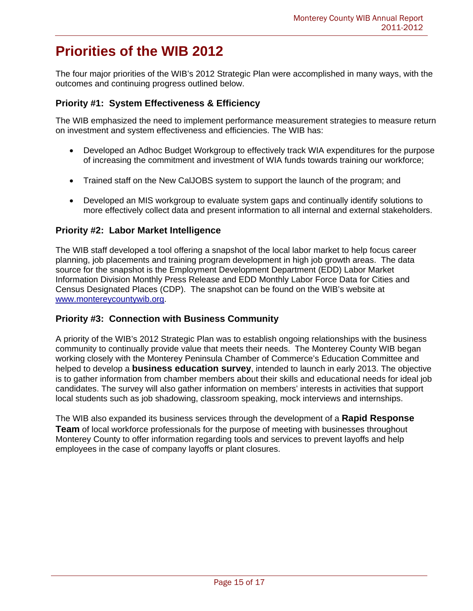## **Priorities of the WIB 2012**

The four major priorities of the WIB's 2012 Strategic Plan were accomplished in many ways, with the outcomes and continuing progress outlined below.

### **Priority #1: System Effectiveness & Efficiency**

The WIB emphasized the need to implement performance measurement strategies to measure return on investment and system effectiveness and efficiencies. The WIB has:

- Developed an Adhoc Budget Workgroup to effectively track WIA expenditures for the purpose of increasing the commitment and investment of WIA funds towards training our workforce;
- Trained staff on the New CalJOBS system to support the launch of the program; and
- Developed an MIS workgroup to evaluate system gaps and continually identify solutions to more effectively collect data and present information to all internal and external stakeholders.

### **Priority #2: Labor Market Intelligence**

The WIB staff developed a tool offering a snapshot of the local labor market to help focus career planning, job placements and training program development in high job growth areas. The data source for the snapshot is the Employment Development Department (EDD) Labor Market Information Division Monthly Press Release and EDD Monthly Labor Force Data for Cities and Census Designated Places (CDP). The snapshot can be found on the WIB's website at www.montereycountywib.org.

#### **Priority #3: Connection with Business Community**

A priority of the WIB's 2012 Strategic Plan was to establish ongoing relationships with the business community to continually provide value that meets their needs. The Monterey County WIB began working closely with the Monterey Peninsula Chamber of Commerce's Education Committee and helped to develop a **business education survey**, intended to launch in early 2013. The objective is to gather information from chamber members about their skills and educational needs for ideal job candidates. The survey will also gather information on members' interests in activities that support local students such as job shadowing, classroom speaking, mock interviews and internships.

The WIB also expanded its business services through the development of a **Rapid Response Team** of local workforce professionals for the purpose of meeting with businesses throughout Monterey County to offer information regarding tools and services to prevent layoffs and help employees in the case of company layoffs or plant closures.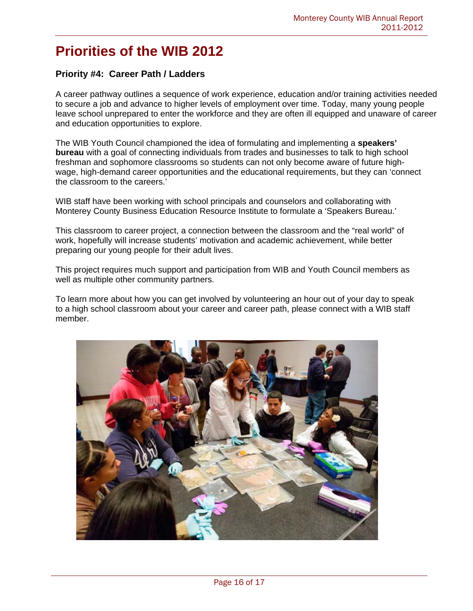## **Priorities of the WIB 2012**

### **Priority #4: Career Path / Ladders**

A career pathway outlines a sequence of work experience, education and/or training activities needed to secure a job and advance to higher levels of employment over time. Today, many young people leave school unprepared to enter the workforce and they are often ill equipped and unaware of career and education opportunities to explore.

The WIB Youth Council championed the idea of formulating and implementing a **speakers' bureau** with a goal of connecting individuals from trades and businesses to talk to high school freshman and sophomore classrooms so students can not only become aware of future highwage, high-demand career opportunities and the educational requirements, but they can 'connect the classroom to the careers.'

WIB staff have been working with school principals and counselors and collaborating with Monterey County Business Education Resource Institute to formulate a 'Speakers Bureau.'

This classroom to career project, a connection between the classroom and the "real world" of work, hopefully will increase students' motivation and academic achievement, while better preparing our young people for their adult lives.

This project requires much support and participation from WIB and Youth Council members as well as multiple other community partners.

To learn more about how you can get involved by volunteering an hour out of your day to speak to a high school classroom about your career and career path, please connect with a WIB staff member.